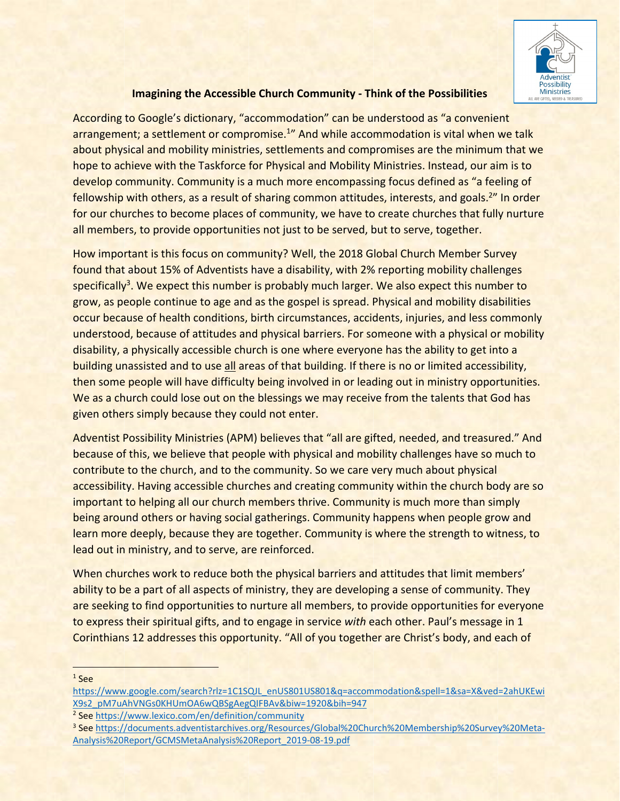

## **Imagining the Accessible Church Community - Think of the Possibilities**

According to Google's dictionary, "accommodation" can be understood as "a convenient arrangement; a settlement or compromise.<sup>1</sup>" And while accommodation is vital when we talk about physical and mobility ministries, settlements and compromises are the minimum that we hope to achieve with the Taskforce for Physical and Mobility Ministries. Instead, our aim is to develop community. Community is a much more encompassing focus defined as "a feeling of fellowship with others, as a result of sharing common attitudes, interests, and goals.<sup>2</sup>" In order for our churches to become places of community, we have to create churches that fully nurture all members, to provide opportunities not just to be served, but to serve, together.

How important is this focus on community? Well, the 2018 Global Church Member Survey found that about 15% of Adventists have a disability, with 2% reporting mobility challenges specifically<sup>3</sup>. We expect this number is probably much larger. We also expect this number to grow, as people continue to age and as the gospel is spread. Physical and mobility disabilities occur because of health conditions, birth circumstances, accidents, injuries, and less commonly understood, because of attitudes and physical barriers. For someone with a physical or mobility disability, a physically accessible church is one where everyone has the ability to get into a building unassisted and to use all areas of that building. If there is no or limited accessibility, then some people will have difficulty being involved in or leading out in ministry opportunities. We as a church could lose out on the blessings we may receive from the talents that God has given others simply because they could not enter.

Adventist Possibility Ministries (APM) believes that "all are gifted, needed, and treasured." And because of this, we believe that people with physical and mobility challenges have so much to contribute to the church, and to the community. So we care very much about physical accessibility. Having accessible churches and creating community within the church body are so important to helping all our church members thrive. Community is much more than simply being around others or having social gatherings. Community happens when people grow and learn more deeply, because they are together. Community is where the strength to witness, to lead out in ministry, and to serve, are reinforced.

When churches work to reduce both the physical barriers and attitudes that limit members' ability to be a part of all aspects of ministry, they are developing a sense of community. They are seeking to find opportunities to nurture all members, to provide opportunities for everyone to express their spiritual gifts, and to engage in service *with* each other. Paul's message in 1 Corinthians 12 addresses this opportunity. "All of you together are Christ's body, and each of

 $1$  See

https://www.google.com/search?rlz=1C1SQJL\_enUS801US801&q=accommodation&spell=1&sa=X&ved=2ahUKEwi X9s2\_pM7uAhVNGs0KHUmOA6wQBSgAegQIFBAv&biw=1920&bih=947

<sup>&</sup>lt;sup>2</sup> See https://www.lexico.com/en/definition/community

<sup>3</sup> See https://documents.adventistarchives.org/Resources/Global%20Church%20Membership%20Survey%20Meta-Analysis%20Report/GCMSMetaAnalysis%20Report\_2019-08-19.pdf